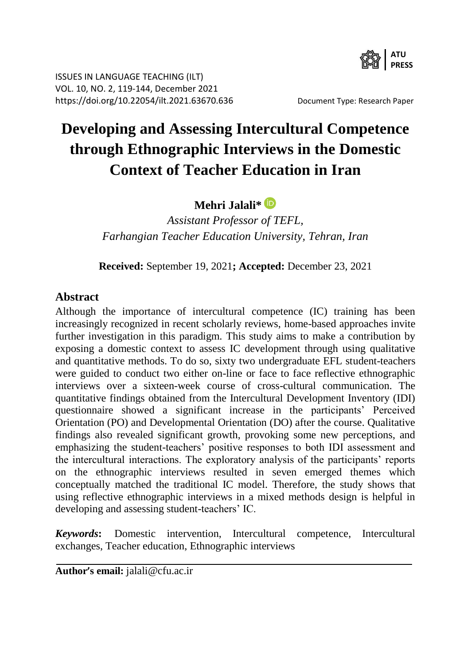

ISSUES IN LANGUAGE TEACHING (ILT) VOL. 10, NO. 2, 119-144, December 2021 <https://doi.org/10.22054/ilt.2021.63670.636>Document Type: Research Paper

# **Developing and Assessing Intercultural Competence through Ethnographic Interviews in the Domestic Context of Teacher Education in Iran**

**Mehri Jalali\***

*Assistant Professor of TEFL, Farhangian Teacher Education University, Tehran, Iran*

**Received:** September 19, 2021**; Accepted:** December 23, 2021

#### **Abstract**

Although the importance of intercultural competence (IC) training has been increasingly recognized in recent scholarly reviews, home-based approaches invite further investigation in this paradigm. This study aims to make a contribution by exposing a domestic context to assess IC development through using qualitative and quantitative methods. To do so, sixty two undergraduate EFL student-teachers were guided to conduct two either on-line or face to face reflective ethnographic interviews over a sixteen-week course of cross-cultural communication. The quantitative findings obtained from the Intercultural Development Inventory (IDI) questionnaire showed a significant increase in the participants' Perceived Orientation (PO) and Developmental Orientation (DO) after the course. Qualitative findings also revealed significant growth, provoking some new perceptions, and emphasizing the student-teachers' positive responses to both IDI assessment and the intercultural interactions. The exploratory analysis of the participants' reports on the ethnographic interviews resulted in seven emerged themes which conceptually matched the traditional IC model. Therefore, the study shows that using reflective ethnographic interviews in a mixed methods design is helpful in developing and assessing student-teachers' IC.

*Keywords***:** Domestic intervention, Intercultural competence, Intercultural exchanges, Teacher education, Ethnographic interviews

**Author's email:** jalali@cfu.ac.ir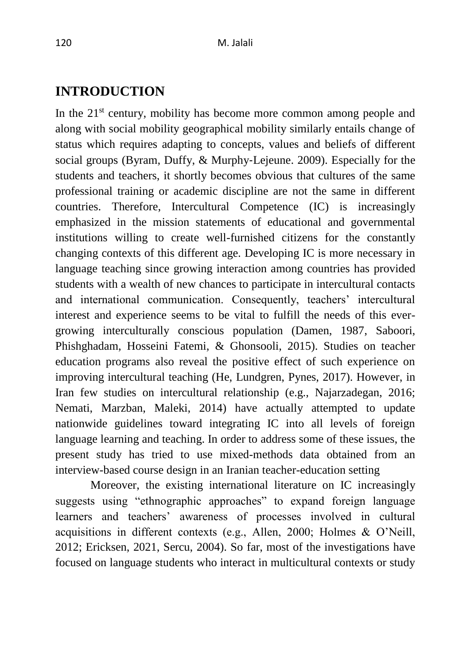# **INTRODUCTION**

In the  $21<sup>st</sup>$  century, mobility has become more common among people and along with social mobility geographical mobility similarly entails change of status which requires adapting to concepts, values and beliefs of different social groups (Byram, Duffy, & Murphy‐Lejeune. 2009). Especially for the students and teachers, it shortly becomes obvious that cultures of the same professional training or academic discipline are not the same in different countries. Therefore, Intercultural Competence (IC) is increasingly emphasized in the mission statements of educational and governmental institutions willing to create well-furnished citizens for the constantly changing contexts of this different age. Developing IC is more necessary in language teaching since growing interaction among countries has provided students with a wealth of new chances to participate in intercultural contacts and international communication. Consequently, teachers' intercultural interest and experience seems to be vital to fulfill the needs of this evergrowing interculturally conscious population (Damen, 1987, Saboori, Phishghadam, Hosseini Fatemi, & Ghonsooli, 2015). Studies on teacher education programs also reveal the positive effect of such experience on improving intercultural teaching (He, Lundgren, Pynes, 2017). However, in Iran few studies on intercultural relationship (e.g., Najarzadegan, 2016; Nemati, Marzban, Maleki, 2014) have actually attempted to update nationwide guidelines toward integrating IC into all levels of foreign language learning and teaching. In order to address some of these issues, the present study has tried to use mixed-methods data obtained from an interview-based course design in an Iranian teacher-education setting

Moreover, the existing international literature on IC increasingly suggests using "ethnographic approaches" to expand foreign language learners and teachers' awareness of processes involved in cultural acquisitions in different contexts (e.g., Allen, 2000; Holmes & O'Neill, 2012; Ericksen, 2021, Sercu, 2004). So far, most of the investigations have focused on language students who interact in multicultural contexts or study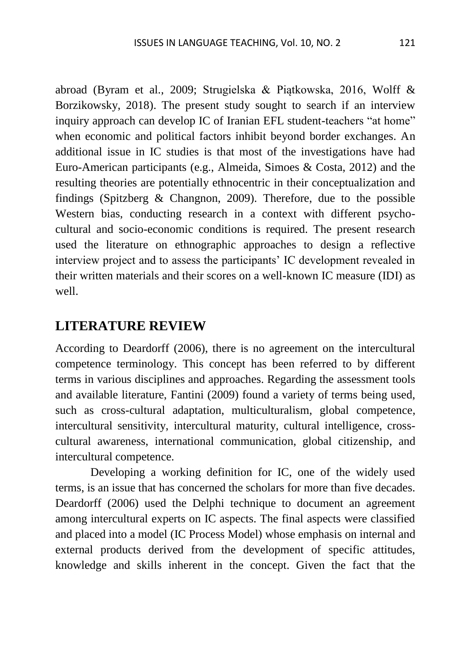abroad (Byram et al., 2009; Strugielska & Piątkowska, 2016, Wolff & Borzikowsky, 2018). The present study sought to search if an interview inquiry approach can develop IC of Iranian EFL student-teachers "at home" when economic and political factors inhibit beyond border exchanges. An additional issue in IC studies is that most of the investigations have had Euro-American participants (e.g., Almeida, Simoes & Costa, 2012) and the resulting theories are potentially ethnocentric in their conceptualization and findings (Spitzberg & Changnon, 2009). Therefore, due to the possible Western bias, conducting research in a context with different psychocultural and socio-economic conditions is required. The present research used the literature on ethnographic approaches to design a reflective interview project and to assess the participants' IC development revealed in their written materials and their scores on a well-known IC measure (IDI) as well.

### **LITERATURE REVIEW**

According to Deardorff (2006), there is no agreement on the intercultural competence terminology. This concept has been referred to by different terms in various disciplines and approaches. Regarding the assessment tools and available literature, Fantini (2009) found a variety of terms being used, such as cross-cultural adaptation, multiculturalism, global competence, intercultural sensitivity, intercultural maturity, cultural intelligence, crosscultural awareness, international communication, global citizenship, and intercultural competence.

Developing a working definition for IC, one of the widely used terms, is an issue that has concerned the scholars for more than five decades. Deardorff (2006) used the Delphi technique to document an agreement among intercultural experts on IC aspects. The final aspects were classified and placed into a model (IC Process Model) whose emphasis on internal and external products derived from the development of specific attitudes, knowledge and skills inherent in the concept. Given the fact that the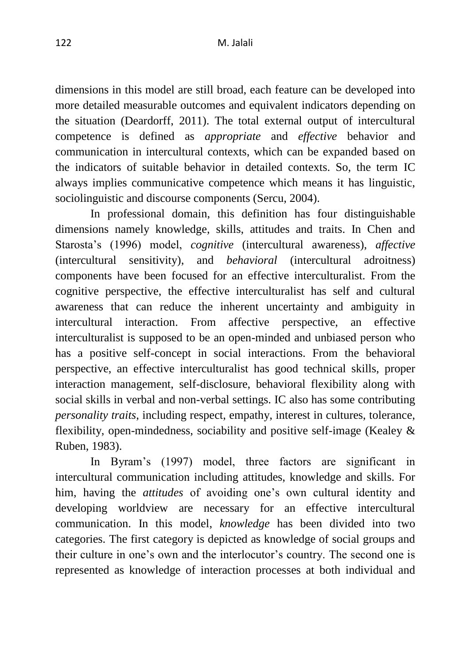dimensions in this model are still broad, each feature can be developed into more detailed measurable outcomes and equivalent indicators depending on the situation (Deardorff, 2011). The total external output of intercultural competence is defined as *appropriate* and *effective* behavior and communication in intercultural contexts, which can be expanded based on the indicators of suitable behavior in detailed contexts. So, the term IC always implies communicative competence which means it has linguistic, sociolinguistic and discourse components (Sercu, 2004).

In professional domain, this definition has four distinguishable dimensions namely knowledge, skills, attitudes and traits. In Chen and Starosta's (1996) model, *cognitive* (intercultural awareness), *affective* (intercultural sensitivity), and *behavioral* (intercultural adroitness) components have been focused for an effective interculturalist. From the cognitive perspective, the effective interculturalist has self and cultural awareness that can reduce the inherent uncertainty and ambiguity in intercultural interaction. From affective perspective, an effective interculturalist is supposed to be an open-minded and unbiased person who has a positive self-concept in social interactions. From the behavioral perspective, an effective interculturalist has good technical skills, proper interaction management, self-disclosure, behavioral flexibility along with social skills in verbal and non-verbal settings. IC also has some contributing *personality traits*, including respect, empathy, interest in cultures, tolerance, flexibility, open-mindedness, sociability and positive self-image (Kealey & Ruben, 1983).

In Byram's (1997) model, three factors are significant in intercultural communication including attitudes, knowledge and skills. For him, having the *attitudes* of avoiding one's own cultural identity and developing worldview are necessary for an effective intercultural communication. In this model, *knowledge* has been divided into two categories. The first category is depicted as knowledge of social groups and their culture in one's own and the interlocutor's country. The second one is represented as knowledge of interaction processes at both individual and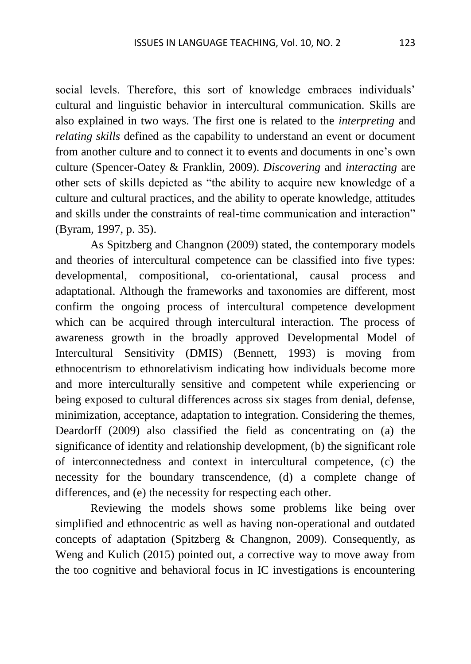social levels. Therefore, this sort of knowledge embraces individuals' cultural and linguistic behavior in intercultural communication. Skills are also explained in two ways. The first one is related to the *interpreting* and *relating skills* defined as the capability to understand an event or document from another culture and to connect it to events and documents in one's own culture (Spencer-Oatey & Franklin, 2009). *Discovering* and *interacting* are other sets of skills depicted as "the ability to acquire new knowledge of a culture and cultural practices, and the ability to operate knowledge, attitudes and skills under the constraints of real-time communication and interaction" (Byram, 1997, p. 35).

As Spitzberg and Changnon (2009) stated, the contemporary models and theories of intercultural competence can be classified into five types: developmental, compositional, co-orientational, causal process and adaptational. Although the frameworks and taxonomies are different, most confirm the ongoing process of intercultural competence development which can be acquired through intercultural interaction. The process of awareness growth in the broadly approved Developmental Model of Intercultural Sensitivity (DMIS) (Bennett, 1993) is moving from ethnocentrism to ethnorelativism indicating how individuals become more and more interculturally sensitive and competent while experiencing or being exposed to cultural differences across six stages from denial, defense, minimization, acceptance, adaptation to integration. Considering the themes, Deardorff (2009) also classified the field as concentrating on (a) the significance of identity and relationship development, (b) the significant role of interconnectedness and context in intercultural competence, (c) the necessity for the boundary transcendence, (d) a complete change of differences, and (e) the necessity for respecting each other.

Reviewing the models shows some problems like being over simplified and ethnocentric as well as having non-operational and outdated concepts of adaptation (Spitzberg & Changnon, 2009). Consequently, as Weng and Kulich (2015) pointed out, a corrective way to move away from the too cognitive and behavioral focus in IC investigations is encountering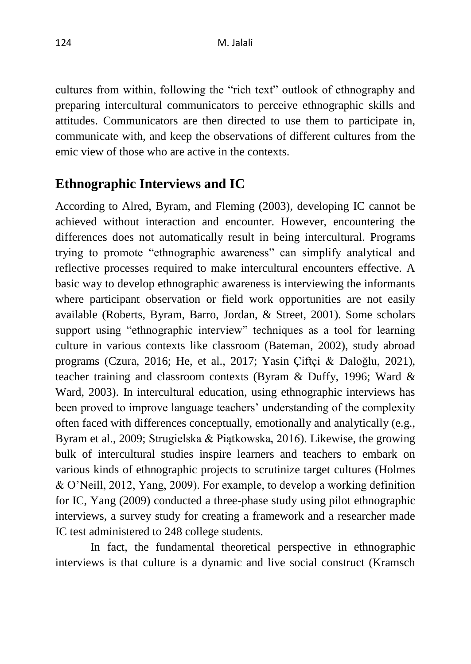cultures from within, following the "rich text" outlook of ethnography and preparing intercultural communicators to perceive ethnographic skills and attitudes. Communicators are then directed to use them to participate in, communicate with, and keep the observations of different cultures from the emic view of those who are active in the contexts.

## **Ethnographic Interviews and IC**

According to Alred, Byram, and Fleming (2003), developing IC cannot be achieved without interaction and encounter. However, encountering the differences does not automatically result in being intercultural. Programs trying to promote "ethnographic awareness" can simplify analytical and reflective processes required to make intercultural encounters effective. A basic way to develop ethnographic awareness is interviewing the informants where participant observation or field work opportunities are not easily available (Roberts, Byram, Barro, Jordan, & Street, 2001). Some scholars support using "ethnographic interview" techniques as a tool for learning culture in various contexts like classroom (Bateman, 2002), study abroad programs (Czura, 2016; He, et al., 2017; Yasin Çiftçi & Daloğlu, 2021), teacher training and classroom contexts (Byram & Duffy, 1996; Ward & Ward, 2003). In intercultural education, using ethnographic interviews has been proved to improve language teachers' understanding of the complexity often faced with differences conceptually, emotionally and analytically (e.g., Byram et al., 2009; Strugielska & Piątkowska, 2016). Likewise, the growing bulk of intercultural studies inspire learners and teachers to embark on various kinds of ethnographic projects to scrutinize target cultures (Holmes & O'Neill, 2012, Yang, 2009). For example, to develop a working definition for IC, Yang (2009) conducted a three-phase study using pilot ethnographic interviews, a survey study for creating a framework and a researcher made IC test administered to 248 college students.

In fact, the fundamental theoretical perspective in ethnographic interviews is that culture is a dynamic and live social construct (Kramsch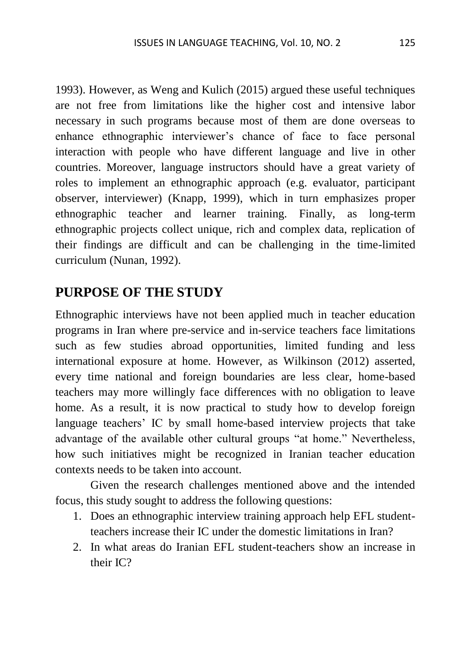1993). However, as Weng and Kulich (2015) argued these useful techniques are not free from limitations like the higher cost and intensive labor necessary in such programs because most of them are done overseas to enhance ethnographic interviewer's chance of face to face personal interaction with people who have different language and live in other countries. Moreover, language instructors should have a great variety of roles to implement an ethnographic approach (e.g. evaluator, participant observer, interviewer) (Knapp, 1999), which in turn emphasizes proper ethnographic teacher and learner training. Finally, as long-term ethnographic projects collect unique, rich and complex data, replication of their findings are difficult and can be challenging in the time-limited curriculum (Nunan, 1992).

### **PURPOSE OF THE STUDY**

Ethnographic interviews have not been applied much in teacher education programs in Iran where pre-service and in-service teachers face limitations such as few studies abroad opportunities, limited funding and less international exposure at home. However, as Wilkinson (2012) asserted, every time national and foreign boundaries are less clear, home-based teachers may more willingly face differences with no obligation to leave home. As a result, it is now practical to study how to develop foreign language teachers' IC by small home-based interview projects that take advantage of the available other cultural groups "at home." Nevertheless, how such initiatives might be recognized in Iranian teacher education contexts needs to be taken into account.

Given the research challenges mentioned above and the intended focus, this study sought to address the following questions:

- 1. Does an ethnographic interview training approach help EFL studentteachers increase their IC under the domestic limitations in Iran?
- 2. In what areas do Iranian EFL student-teachers show an increase in their IC?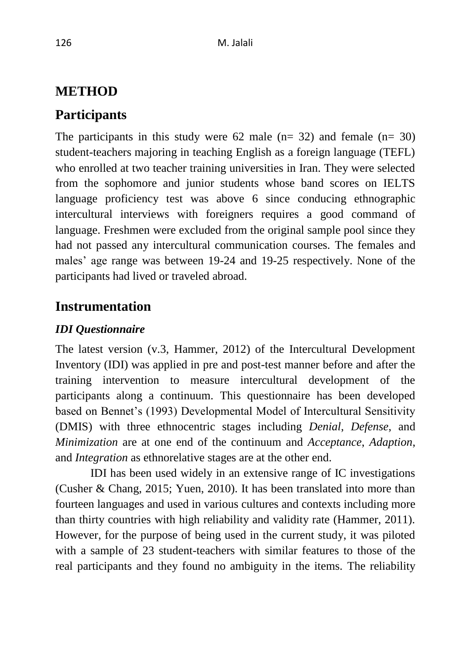# **METHOD**

# **Participants**

The participants in this study were  $62$  male (n= 32) and female (n= 30) student-teachers majoring in teaching English as a foreign language (TEFL) who enrolled at two teacher training universities in Iran. They were selected from the sophomore and junior students whose band scores on IELTS language proficiency test was above 6 since conducing ethnographic intercultural interviews with foreigners requires a good command of language. Freshmen were excluded from the original sample pool since they had not passed any intercultural communication courses. The females and males' age range was between 19-24 and 19-25 respectively. None of the participants had lived or traveled abroad.

# **Instrumentation**

### *IDI Questionnaire*

The latest version (v.3, Hammer, 2012) of the Intercultural Development Inventory (IDI) was applied in pre and post-test manner before and after the training intervention to measure intercultural development of the participants along a continuum. This questionnaire has been developed based on Bennet's (1993) Developmental Model of Intercultural Sensitivity (DMIS) with three ethnocentric stages including *Denial*, *Defense*, and *Minimization* are at one end of the continuum and *Acceptance*, *Adaption*, and *Integration* as ethnorelative stages are at the other end.

IDI has been used widely in an extensive range of IC investigations (Cusher & Chang, 2015; Yuen, 2010). It has been translated into more than fourteen languages and used in various cultures and contexts including more than thirty countries with high reliability and validity rate (Hammer, 2011). However, for the purpose of being used in the current study, it was piloted with a sample of 23 student-teachers with similar features to those of the real participants and they found no ambiguity in the items. The reliability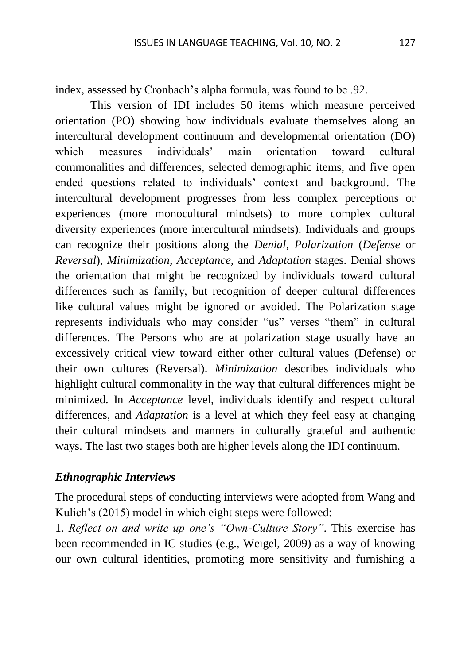index, assessed by Cronbach's alpha formula, was found to be .92.

This version of IDI includes 50 items which measure perceived orientation (PO) showing how individuals evaluate themselves along an intercultural development continuum and developmental orientation (DO) which measures individuals' main orientation toward cultural commonalities and differences, selected demographic items, and five open ended questions related to individuals' context and background. The intercultural development progresses from less complex perceptions or experiences (more monocultural mindsets) to more complex cultural diversity experiences (more intercultural mindsets). Individuals and groups can recognize their positions along the *Denial*, *Polarization* (*Defense* or *Reversal*), *Minimization*, *Acceptance*, and *Adaptation* stages. Denial shows the orientation that might be recognized by individuals toward cultural differences such as family, but recognition of deeper cultural differences like cultural values might be ignored or avoided. The Polarization stage represents individuals who may consider "us" verses "them" in cultural differences. The Persons who are at polarization stage usually have an excessively critical view toward either other cultural values (Defense) or their own cultures (Reversal). *Minimization* describes individuals who highlight cultural commonality in the way that cultural differences might be minimized. In *Acceptance* level, individuals identify and respect cultural differences, and *Adaptation* is a level at which they feel easy at changing their cultural mindsets and manners in culturally grateful and authentic ways. The last two stages both are higher levels along the IDI continuum.

#### *Ethnographic Interviews*

The procedural steps of conducting interviews were adopted from Wang and Kulich's (2015) model in which eight steps were followed:

1. *Reflect on and write up one's "Own-Culture Story"*. This exercise has been recommended in IC studies (e.g., Weigel, 2009) as a way of knowing our own cultural identities, promoting more sensitivity and furnishing a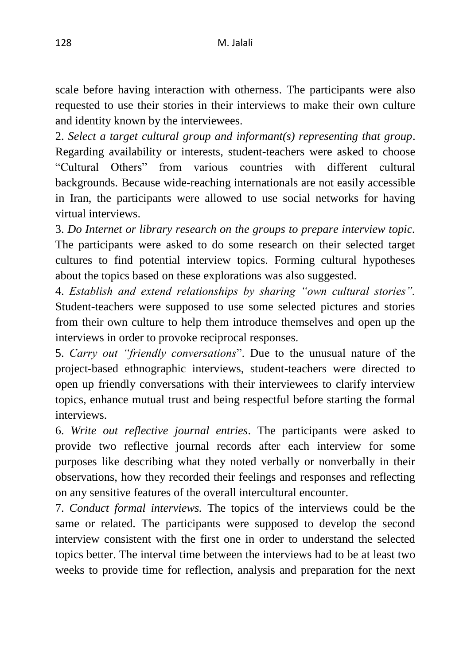scale before having interaction with otherness. The participants were also requested to use their stories in their interviews to make their own culture and identity known by the interviewees.

2. *Select a target cultural group and informant(s) representing that group*. Regarding availability or interests, student-teachers were asked to choose "Cultural Others" from various countries with different cultural backgrounds. Because wide-reaching internationals are not easily accessible in Iran, the participants were allowed to use social networks for having virtual interviews.

3. *Do Internet or library research on the groups to prepare interview topic.* The participants were asked to do some research on their selected target cultures to find potential interview topics. Forming cultural hypotheses about the topics based on these explorations was also suggested.

4. *Establish and extend relationships by sharing "own cultural stories".* Student-teachers were supposed to use some selected pictures and stories from their own culture to help them introduce themselves and open up the interviews in order to provoke reciprocal responses.

5. *Carry out "friendly conversations*". Due to the unusual nature of the project-based ethnographic interviews, student-teachers were directed to open up friendly conversations with their interviewees to clarify interview topics, enhance mutual trust and being respectful before starting the formal interviews.

6. *Write out reflective journal entries*. The participants were asked to provide two reflective journal records after each interview for some purposes like describing what they noted verbally or nonverbally in their observations, how they recorded their feelings and responses and reflecting on any sensitive features of the overall intercultural encounter.

7. *Conduct formal interviews.* The topics of the interviews could be the same or related. The participants were supposed to develop the second interview consistent with the first one in order to understand the selected topics better. The interval time between the interviews had to be at least two weeks to provide time for reflection, analysis and preparation for the next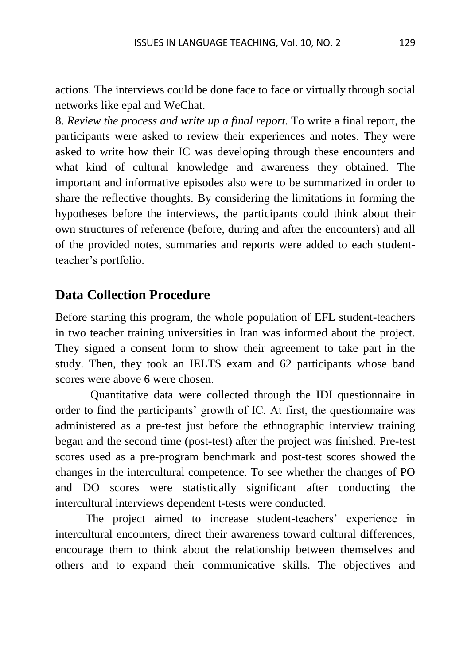actions. The interviews could be done face to face or virtually through social networks like epal and WeChat.

8. *Review the process and write up a final report.* To write a final report, the participants were asked to review their experiences and notes. They were asked to write how their IC was developing through these encounters and what kind of cultural knowledge and awareness they obtained. The important and informative episodes also were to be summarized in order to share the reflective thoughts. By considering the limitations in forming the hypotheses before the interviews, the participants could think about their own structures of reference (before, during and after the encounters) and all of the provided notes, summaries and reports were added to each studentteacher's portfolio.

### **Data Collection Procedure**

Before starting this program, the whole population of EFL student-teachers in two teacher training universities in Iran was informed about the project. They signed a consent form to show their agreement to take part in the study. Then, they took an IELTS exam and 62 participants whose band scores were above 6 were chosen.

Quantitative data were collected through the IDI questionnaire in order to find the participants' growth of IC. At first, the questionnaire was administered as a pre-test just before the ethnographic interview training began and the second time (post-test) after the project was finished. Pre-test scores used as a pre-program benchmark and post-test scores showed the changes in the intercultural competence. To see whether the changes of PO and DO scores were statistically significant after conducting the intercultural interviews dependent t-tests were conducted.

The project aimed to increase student-teachers' experience in intercultural encounters, direct their awareness toward cultural differences, encourage them to think about the relationship between themselves and others and to expand their communicative skills. The objectives and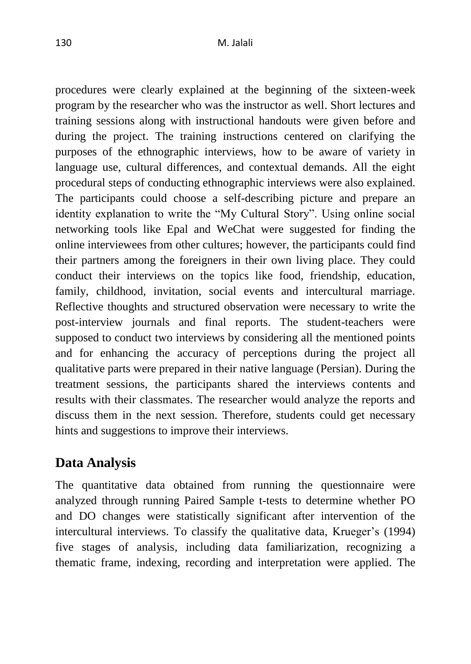procedures were clearly explained at the beginning of the sixteen-week program by the researcher who was the instructor as well. Short lectures and training sessions along with instructional handouts were given before and during the project. The training instructions centered on clarifying the purposes of the ethnographic interviews, how to be aware of variety in language use, cultural differences, and contextual demands. All the eight procedural steps of conducting ethnographic interviews were also explained. The participants could choose a self-describing picture and prepare an identity explanation to write the "My Cultural Story". Using online social networking tools like Epal and WeChat were suggested for finding the online interviewees from other cultures; however, the participants could find their partners among the foreigners in their own living place. They could conduct their interviews on the topics like food, friendship, education, family, childhood, invitation, social events and intercultural marriage. Reflective thoughts and structured observation were necessary to write the post-interview journals and final reports. The student-teachers were supposed to conduct two interviews by considering all the mentioned points and for enhancing the accuracy of perceptions during the project all qualitative parts were prepared in their native language (Persian). During the treatment sessions, the participants shared the interviews contents and results with their classmates. The researcher would analyze the reports and discuss them in the next session. Therefore, students could get necessary hints and suggestions to improve their interviews.

# **Data Analysis**

The quantitative data obtained from running the questionnaire were analyzed through running Paired Sample t-tests to determine whether PO and DO changes were statistically significant after intervention of the intercultural interviews. To classify the qualitative data, Krueger's (1994) five stages of analysis, including data familiarization, recognizing a thematic frame, indexing, recording and interpretation were applied. The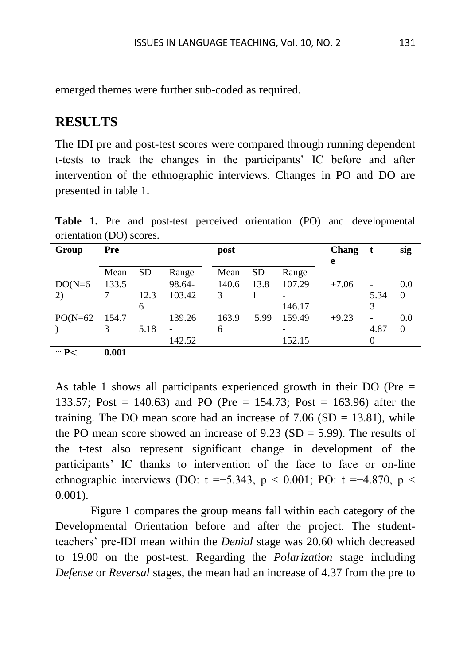emerged themes were further sub-coded as required.

### **RESULTS**

The IDI pre and post-test scores were compared through running dependent t-tests to track the changes in the participants' IC before and after intervention of the ethnographic interviews. Changes in PO and DO are presented in table 1.

| Group          | Pre   |           |        | post  |           |        | Chang   | t    | sig      |
|----------------|-------|-----------|--------|-------|-----------|--------|---------|------|----------|
|                |       |           |        |       |           |        | e       |      |          |
|                | Mean  | <b>SD</b> | Range  | Mean  | <b>SD</b> | Range  |         |      |          |
| $DO(N=6)$      | 133.5 |           | 98.64- | 140.6 | 13.8      | 107.29 | $+7.06$ |      | 0.0      |
| 2)             |       | 12.3      | 103.42 | 3     |           |        |         | 5.34 | $\Omega$ |
|                |       | 6         |        |       |           | 146.17 |         |      |          |
| $PO(N=62)$     | 154.7 |           | 139.26 | 163.9 | 5.99      | 159.49 | $+9.23$ | -    | 0.0      |
|                |       | 5.18      |        | 6     |           |        |         | 4.87 | 0        |
|                |       |           | 142.52 |       |           | 152.15 |         |      |          |
| $\cdots$ P $<$ | 0.001 |           |        |       |           |        |         |      |          |

**Table 1.** Pre and post-test perceived orientation (PO) and developmental orientation (DO) scores.

As table 1 shows all participants experienced growth in their DO (Pre = 133.57; Post = 140.63) and PO (Pre = 154.73; Post = 163.96) after the training. The DO mean score had an increase of  $7.06$  (SD = 13.81), while the PO mean score showed an increase of  $9.23$  (SD = 5.99). The results of the t-test also represent significant change in development of the participants' IC thanks to intervention of the face to face or on-line ethnographic interviews (DO: t =−5.343, p < 0.001; PO: t =−4.870, p < 0.001).

 Figure 1 compares the group means fall within each category of the Developmental Orientation before and after the project. The studentteachers' pre-IDI mean within the *Denial* stage was 20.60 which decreased to 19.00 on the post-test. Regarding the *Polarization* stage including *Defense* or *Reversal* stages, the mean had an increase of 4.37 from the pre to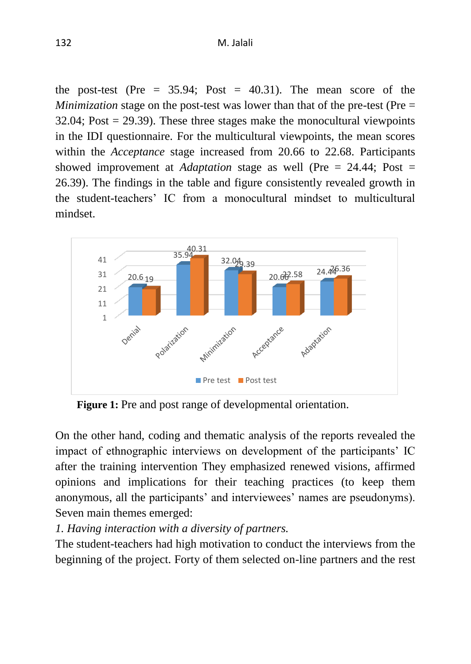the post-test (Pre  $= 35.94$ ; Post  $= 40.31$ ). The mean score of the *Minimization* stage on the post-test was lower than that of the pre-test (Pre =  $32.04$ ; Post = 29.39). These three stages make the monocultural viewpoints in the IDI questionnaire. For the multicultural viewpoints, the mean scores within the *Acceptance* stage increased from 20.66 to 22.68. Participants showed improvement at *Adaptation* stage as well (Pre = 24.44; Post = 26.39). The findings in the table and figure consistently revealed growth in the student-teachers' IC from a monocultural mindset to multicultural mindset.



 **Figure 1:** Pre and post range of developmental orientation.

On the other hand, coding and thematic analysis of the reports revealed the impact of ethnographic interviews on development of the participants' IC after the training intervention They emphasized renewed visions, affirmed opinions and implications for their teaching practices (to keep them anonymous, all the participants' and interviewees' names are pseudonyms). Seven main themes emerged:

#### *1. Having interaction with a diversity of partners.*

The student-teachers had high motivation to conduct the interviews from the beginning of the project. Forty of them selected on-line partners and the rest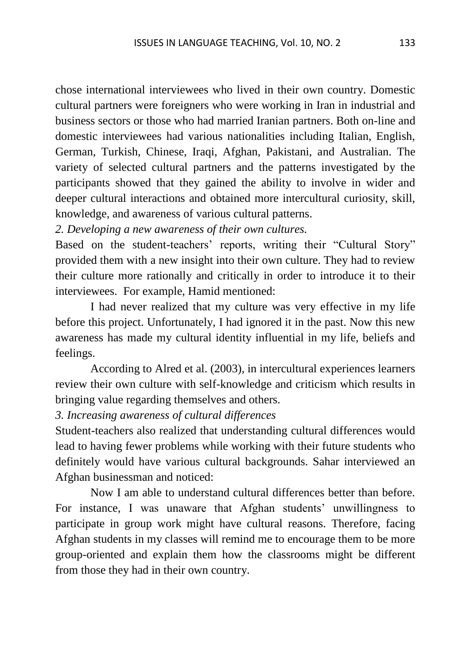chose international interviewees who lived in their own country. Domestic cultural partners were foreigners who were working in Iran in industrial and business sectors or those who had married Iranian partners. Both on-line and domestic interviewees had various nationalities including Italian, English, German, Turkish, Chinese, Iraqi, Afghan, Pakistani, and Australian. The variety of selected cultural partners and the patterns investigated by the participants showed that they gained the ability to involve in wider and deeper cultural interactions and obtained more intercultural curiosity, skill, knowledge, and awareness of various cultural patterns.

*2. Developing a new awareness of their own cultures.*

Based on the student-teachers' reports, writing their "Cultural Story" provided them with a new insight into their own culture. They had to review their culture more rationally and critically in order to introduce it to their interviewees. For example, Hamid mentioned:

I had never realized that my culture was very effective in my life before this project. Unfortunately, I had ignored it in the past. Now this new awareness has made my cultural identity influential in my life, beliefs and feelings.

According to Alred et al. (2003), in intercultural experiences learners review their own culture with self-knowledge and criticism which results in bringing value regarding themselves and others.

*3. Increasing awareness of cultural differences*

Student-teachers also realized that understanding cultural differences would lead to having fewer problems while working with their future students who definitely would have various cultural backgrounds. Sahar interviewed an Afghan businessman and noticed:

Now I am able to understand cultural differences better than before. For instance, I was unaware that Afghan students' unwillingness to participate in group work might have cultural reasons. Therefore, facing Afghan students in my classes will remind me to encourage them to be more group-oriented and explain them how the classrooms might be different from those they had in their own country.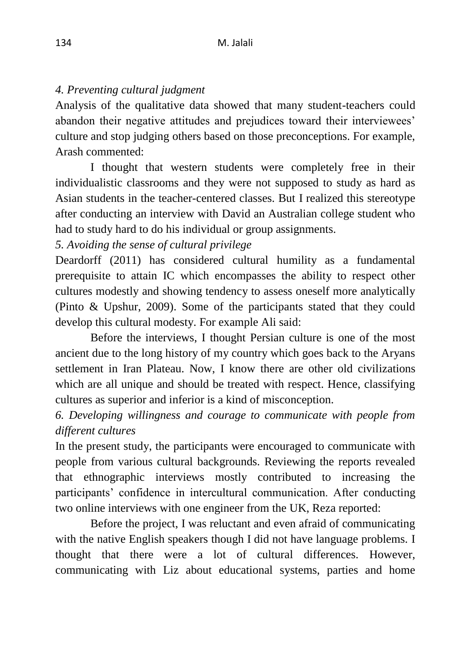#### *4. Preventing cultural judgment*

Analysis of the qualitative data showed that many student-teachers could abandon their negative attitudes and prejudices toward their interviewees' culture and stop judging others based on those preconceptions. For example, Arash commented:

I thought that western students were completely free in their individualistic classrooms and they were not supposed to study as hard as Asian students in the teacher-centered classes. But I realized this stereotype after conducting an interview with David an Australian college student who had to study hard to do his individual or group assignments.

*5. Avoiding the sense of cultural privilege*

Deardorff (2011) has considered cultural humility as a fundamental prerequisite to attain IC which encompasses the ability to respect other cultures modestly and showing tendency to assess oneself more analytically (Pinto & Upshur, 2009). Some of the participants stated that they could develop this cultural modesty. For example Ali said:

Before the interviews, I thought Persian culture is one of the most ancient due to the long history of my country which goes back to the Aryans settlement in Iran Plateau. Now, I know there are other old civilizations which are all unique and should be treated with respect. Hence, classifying cultures as superior and inferior is a kind of misconception.

*6. Developing willingness and courage to communicate with people from different cultures*

In the present study, the participants were encouraged to communicate with people from various cultural backgrounds. Reviewing the reports revealed that ethnographic interviews mostly contributed to increasing the participants' confidence in intercultural communication. After conducting two online interviews with one engineer from the UK, Reza reported:

Before the project, I was reluctant and even afraid of communicating with the native English speakers though I did not have language problems. I thought that there were a lot of cultural differences. However, communicating with Liz about educational systems, parties and home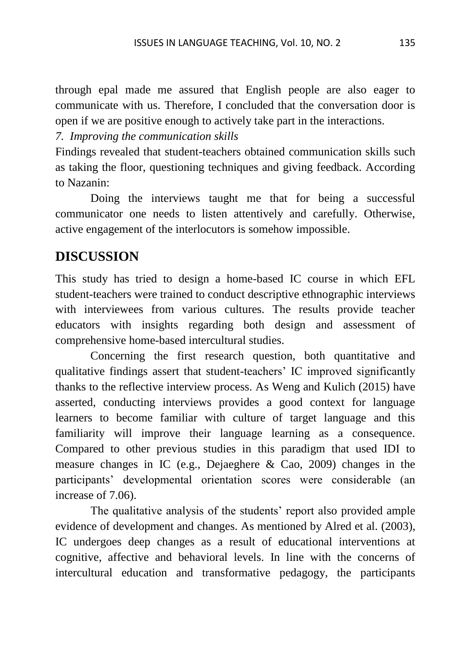through epal made me assured that English people are also eager to communicate with us. Therefore, I concluded that the conversation door is open if we are positive enough to actively take part in the interactions.

*7. Improving the communication skills*

Findings revealed that student-teachers obtained communication skills such as taking the floor, questioning techniques and giving feedback. According to Nazanin:

Doing the interviews taught me that for being a successful communicator one needs to listen attentively and carefully. Otherwise, active engagement of the interlocutors is somehow impossible.

### **DISCUSSION**

This study has tried to design a home-based IC course in which EFL student-teachers were trained to conduct descriptive ethnographic interviews with interviewees from various cultures. The results provide teacher educators with insights regarding both design and assessment of comprehensive home-based intercultural studies.

Concerning the first research question, both quantitative and qualitative findings assert that student-teachers' IC improved significantly thanks to the reflective interview process. As Weng and Kulich (2015) have asserted, conducting interviews provides a good context for language learners to become familiar with culture of target language and this familiarity will improve their language learning as a consequence. Compared to other previous studies in this paradigm that used IDI to measure changes in IC (e.g., Dejaeghere & Cao, 2009) changes in the participants' developmental orientation scores were considerable (an increase of 7.06).

The qualitative analysis of the students' report also provided ample evidence of development and changes. As mentioned by Alred et al. (2003), IC undergoes deep changes as a result of educational interventions at cognitive, affective and behavioral levels. In line with the concerns of intercultural education and transformative pedagogy, the participants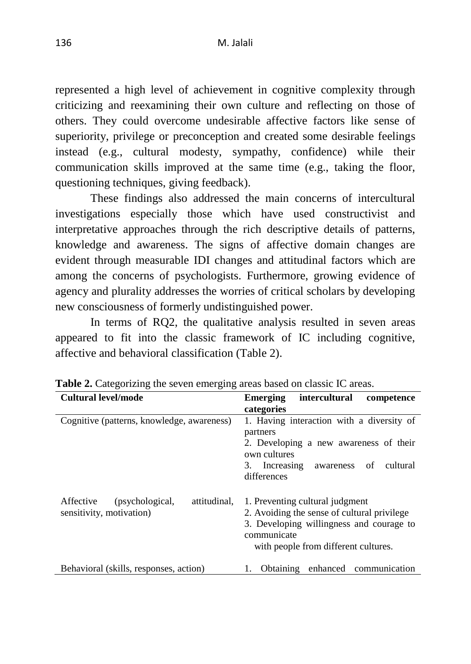represented a high level of achievement in cognitive complexity through criticizing and reexamining their own culture and reflecting on those of others. They could overcome undesirable affective factors like sense of superiority, privilege or preconception and created some desirable feelings instead (e.g., cultural modesty, sympathy, confidence) while their communication skills improved at the same time (e.g., taking the floor, questioning techniques, giving feedback).

These findings also addressed the main concerns of intercultural investigations especially those which have used constructivist and interpretative approaches through the rich descriptive details of patterns, knowledge and awareness. The signs of affective domain changes are evident through measurable IDI changes and attitudinal factors which are among the concerns of psychologists. Furthermore, growing evidence of agency and plurality addresses the worries of critical scholars by developing new consciousness of formerly undistinguished power.

In terms of RQ2, the qualitative analysis resulted in seven areas appeared to fit into the classic framework of IC including cognitive, affective and behavioral classification (Table 2).

| Cultural level/mode                                                      | intercultural<br><b>Emerging</b><br>competence                                                                                                                                    |
|--------------------------------------------------------------------------|-----------------------------------------------------------------------------------------------------------------------------------------------------------------------------------|
|                                                                          | categories                                                                                                                                                                        |
| Cognitive (patterns, knowledge, awareness)                               | 1. Having interaction with a diversity of<br>partners<br>2. Developing a new awareness of their<br>own cultures<br>Increasing<br>cultural<br>3.<br>awareness of<br>differences    |
| attitudinal.<br>Affective<br>(psychological,<br>sensitivity, motivation) | 1. Preventing cultural judgment<br>2. Avoiding the sense of cultural privilege<br>3. Developing willingness and courage to<br>communicate<br>with people from different cultures. |
| Behavioral (skills, responses, action)                                   | enhanced<br>Obtaining<br>communication                                                                                                                                            |

Table 2. Categorizing the seven emerging areas based on classic IC areas.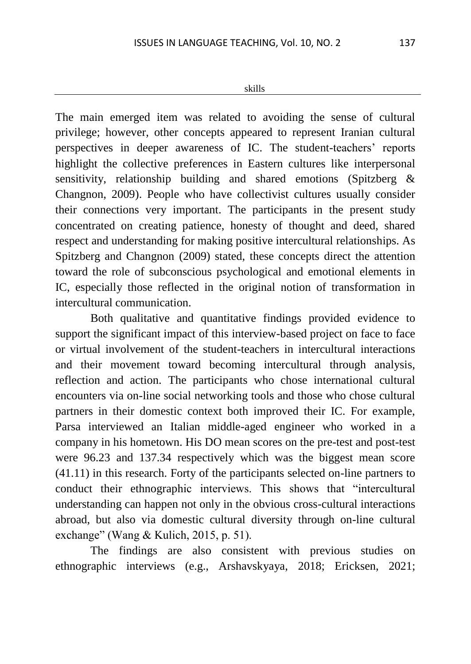#### skills

The main emerged item was related to avoiding the sense of cultural privilege; however, other concepts appeared to represent Iranian cultural perspectives in deeper awareness of IC. The student-teachers' reports highlight the collective preferences in Eastern cultures like interpersonal sensitivity, relationship building and shared emotions (Spitzberg & Changnon, 2009). People who have collectivist cultures usually consider their connections very important. The participants in the present study concentrated on creating patience, honesty of thought and deed, shared respect and understanding for making positive intercultural relationships. As Spitzberg and Changnon (2009) stated, these concepts direct the attention toward the role of subconscious psychological and emotional elements in IC, especially those reflected in the original notion of transformation in intercultural communication.

Both qualitative and quantitative findings provided evidence to support the significant impact of this interview-based project on face to face or virtual involvement of the student-teachers in intercultural interactions and their movement toward becoming intercultural through analysis, reflection and action. The participants who chose international cultural encounters via on-line social networking tools and those who chose cultural partners in their domestic context both improved their IC. For example, Parsa interviewed an Italian middle-aged engineer who worked in a company in his hometown. His DO mean scores on the pre-test and post-test were 96.23 and 137.34 respectively which was the biggest mean score (41.11) in this research. Forty of the participants selected on-line partners to conduct their ethnographic interviews. This shows that "intercultural understanding can happen not only in the obvious cross-cultural interactions abroad, but also via domestic cultural diversity through on-line cultural exchange" (Wang & Kulich, 2015, p. 51).

The findings are also consistent with previous studies on ethnographic interviews (e.g., Arshavskyaya, 2018; Ericksen, 2021;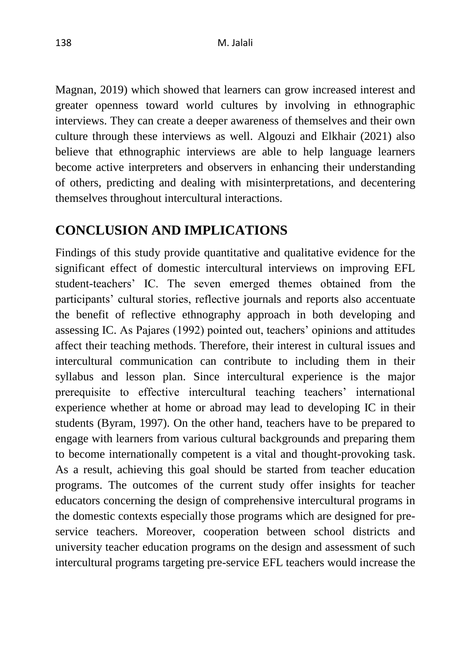Magnan, 2019) which showed that learners can grow increased interest and greater openness toward world cultures by involving in ethnographic interviews. They can create a deeper awareness of themselves and their own culture through these interviews as well. Algouzi and Elkhair (2021) also believe that ethnographic interviews are able to help language learners become active interpreters and observers in enhancing their understanding of others, predicting and dealing with misinterpretations, and decentering themselves throughout intercultural interactions.

# **CONCLUSION AND IMPLICATIONS**

Findings of this study provide quantitative and qualitative evidence for the significant effect of domestic intercultural interviews on improving EFL student-teachers' IC. The seven emerged themes obtained from the participants' cultural stories, reflective journals and reports also accentuate the benefit of reflective ethnography approach in both developing and assessing IC. As Pajares (1992) pointed out, teachers' opinions and attitudes affect their teaching methods. Therefore, their interest in cultural issues and intercultural communication can contribute to including them in their syllabus and lesson plan. Since intercultural experience is the major prerequisite to effective intercultural teaching teachers' international experience whether at home or abroad may lead to developing IC in their students (Byram, 1997). On the other hand, teachers have to be prepared to engage with learners from various cultural backgrounds and preparing them to become internationally competent is a vital and thought-provoking task. As a result, achieving this goal should be started from teacher education programs. The outcomes of the current study offer insights for teacher educators concerning the design of comprehensive intercultural programs in the domestic contexts especially those programs which are designed for preservice teachers. Moreover, cooperation between school districts and university teacher education programs on the design and assessment of such intercultural programs targeting pre-service EFL teachers would increase the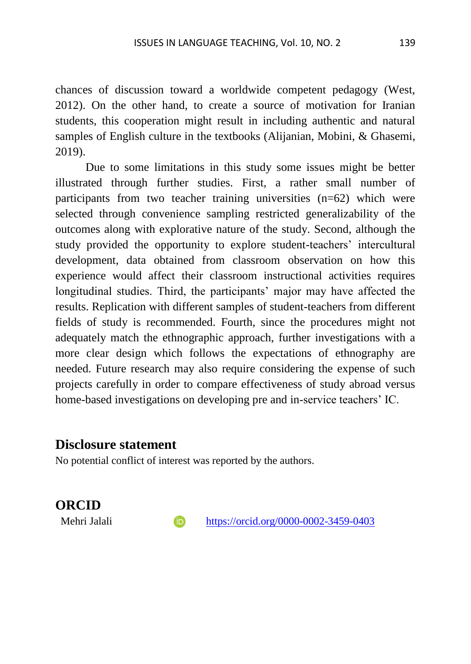chances of discussion toward a worldwide competent pedagogy (West, 2012). On the other hand, to create a source of motivation for Iranian students, this cooperation might result in including authentic and natural samples of English culture in the textbooks (Alijanian, Mobini, & Ghasemi, 2019).

Due to some limitations in this study some issues might be better illustrated through further studies. First, a rather small number of participants from two teacher training universities (n=62) which were selected through convenience sampling restricted generalizability of the outcomes along with explorative nature of the study. Second, although the study provided the opportunity to explore student-teachers' intercultural development, data obtained from classroom observation on how this experience would affect their classroom instructional activities requires longitudinal studies. Third, the participants' major may have affected the results. Replication with different samples of student-teachers from different fields of study is recommended. Fourth, since the procedures might not adequately match the ethnographic approach, further investigations with a more clear design which follows the expectations of ethnography are needed. Future research may also require considering the expense of such projects carefully in order to compare effectiveness of study abroad versus home-based investigations on developing pre and in-service teachers' IC.

#### **Disclosure statement**

No potential conflict of interest was reported by the authors.

### **ORCID**

Mehri Jalali **https://orcid.org/0000-0002-3459-0403**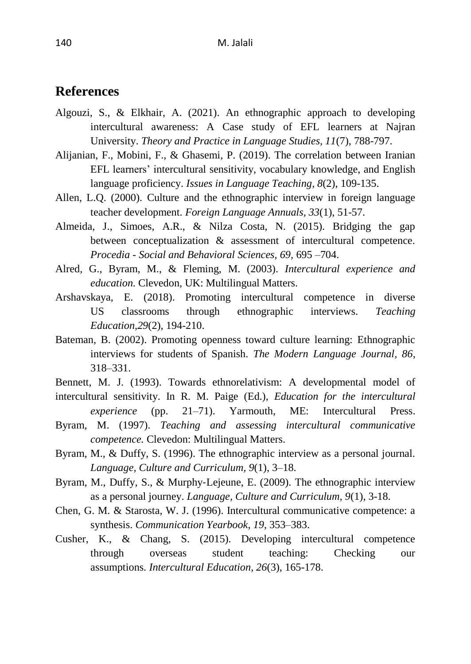#### **References**

- Algouzi, S., & Elkhair, A. (2021). An ethnographic approach to developing intercultural awareness: A Case study of EFL learners at Najran University. *Theory and Practice in Language Studies, 11*(7), 788-797.
- Alijanian, F., Mobini, F., & Ghasemi, P. (2019). The correlation between Iranian EFL learners' intercultural sensitivity, vocabulary knowledge, and English language proficiency. *Issues in Language Teaching, 8*(2), 109-135.
- Allen, L.Q. (2000). Culture and the ethnographic interview in foreign language teacher development. *Foreign Language Annuals, 33*(1), 51-57.
- Almeida, J., Simoes, A.R., & Nilza Costa, N. (2015). Bridging the gap between conceptualization & assessment of intercultural competence. *Procedia - Social and Behavioral Sciences, 69,* 695 –704.
- Alred, G., Byram, M., & Fleming, M. (2003). *Intercultural experience and education*. Clevedon, UK: Multilingual Matters.
- Arshavskaya, E. (2018). Promoting intercultural competence in diverse US classrooms through ethnographic interviews. *Teaching Education,29*(2), 194-210.
- Bateman, B. (2002). Promoting openness toward culture learning: Ethnographic interviews for students of Spanish. *The Modern Language Journal, 86*, 318–331.
- Bennett, M. J. (1993). Towards ethnorelativism: A developmental model of intercultural sensitivity. In R. M. Paige (Ed.), *Education for the intercultural*
- *experience* (pp. 21–71). Yarmouth, ME: Intercultural Press. Byram, M. (1997). *Teaching and assessing intercultural communicative competence.* Clevedon: Multilingual Matters.
- Byram, M., & Duffy, S. (1996). The ethnographic interview as a personal journal. *Language, Culture and Curriculum, 9*(1), 3–18.
- Byram, M., Duffy, S., & Murphy‐Lejeune, E. (2009). The ethnographic interview as a personal journey. *Language, Culture and Curriculum, 9*(1), 3-18.
- Chen, G. M. & Starosta, W. J. (1996). Intercultural communicative competence: a synthesis. *Communication Yearbook*, *19*, 353–383.
- Cusher, K., & Chang, S. (2015). Developing intercultural competence through overseas student teaching: Checking our assumptions. *Intercultural Education, 26*(3), 165-178.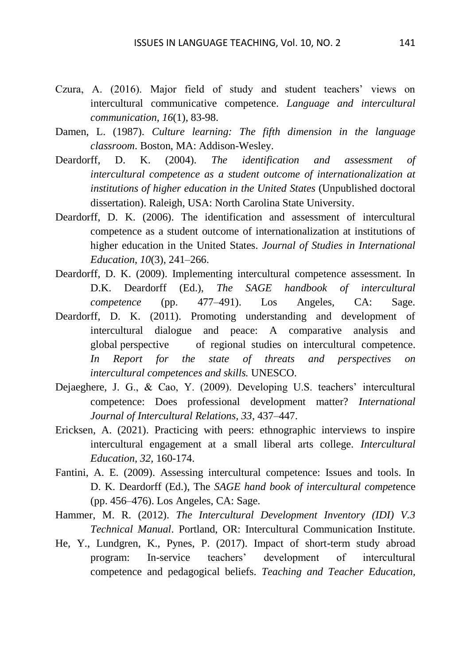- Czura, A. (2016). Major field of study and student teachers' views on intercultural communicative competence. *Language and intercultural communication, 16*(1), 83-98.
- Damen, L. (1987). *Culture learning: The fifth dimension in the language classroom*. Boston, MA: Addison-Wesley.
- Deardorff, D. K. (2004). *The identification and assessment of intercultural competence as a student outcome of internationalization at institutions of higher education in the United States* (Unpublished doctoral dissertation). Raleigh, USA: North Carolina State University.
- Deardorff, D. K. (2006). The identification and assessment of intercultural competence as a student outcome of internationalization at institutions of higher education in the United States. *Journal of Studies in International Education*, *10*(3), 241–266.
- Deardorff, D. K. (2009). Implementing intercultural competence assessment. In D.K. Deardorff (Ed.), *The SAGE handbook of intercultural competence* (pp. 477–491). Los Angeles, CA: Sage.
- Deardorff, D. K. (2011). Promoting understanding and development of intercultural dialogue and peace: A comparative analysis and global perspective of regional studies on intercultural competence. *In Report for the state of threats and perspectives on intercultural competences and skills.* UNESCO.
- Dejaeghere, J. G., & Cao, Y. (2009). Developing U.S. teachers' intercultural competence: Does professional development matter? *International Journal of Intercultural Relations, 33*, 437–447.
- Ericksen, A. (2021). Practicing with peers: ethnographic interviews to inspire intercultural engagement at a small liberal arts college. *Intercultural Education, 32,* 160-174.
- Fantini, A. E. (2009). Assessing intercultural competence: Issues and tools. In D. K. Deardorff (Ed.), The *SAGE hand book of intercultural compet*ence (pp. 456–476). Los Angeles, CA: Sage.
- Hammer, M. R. (2012). *The Intercultural Development Inventory (IDI) V.3 Technical Manual*. Portland, OR: Intercultural Communication Institute.
- He, Y., Lundgren, K., Pynes, P. (2017). Impact of short-term study abroad program: In-service teachers' development of intercultural competence and pedagogical beliefs. *Teaching and Teacher Education,*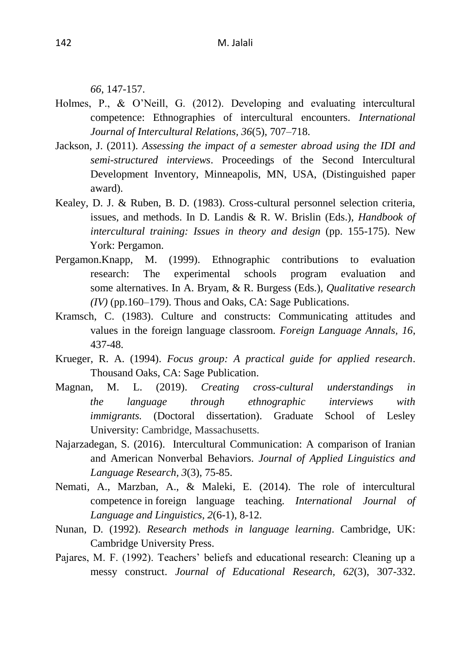*66*, 147-157.

- Holmes, P., & O'Neill, G. (2012). Developing and evaluating intercultural competence: Ethnographies of intercultural encounters. *International Journal of Intercultural Relations, 36*(5), 707–718.
- Jackson, J. (2011). *Assessing the impact of a semester abroad using the IDI and semi-structured interviews*. Proceedings of the Second Intercultural Development Inventory, Minneapolis, MN, USA, (Distinguished paper award).
- Kealey, D. J. & Ruben, B. D. (1983). Cross-cultural personnel selection criteria, issues, and methods. In D. Landis & R. W. Brislin (Eds.), *Handbook of intercultural training: Issues in theory and design* (pp. 155-175). New York: Pergamon.
- Pergamon.Knapp, M. (1999). Ethnographic contributions to evaluation research: The experimental schools program evaluation and some alternatives. In A. Bryam, & R. Burgess (Eds.), *Qualitative research (IV)* (pp.160–179). Thous and Oaks, CA: Sage Publications.
- Kramsch, C. (1983). Culture and constructs: Communicating attitudes and values in the foreign language classroom. *Foreign Language Annals, 16*, 437-48.
- Krueger, R. A. (1994). *Focus group: A practical guide for applied research*. Thousand Oaks, CA: Sage Publication.
- Magnan, M. L. (2019). *Creating cross-cultural understandings in the language through ethnographic interviews with immigrants.* (Doctoral dissertation). Graduate School of Lesley University: Cambridge, Massachusetts.
- Najarzadegan, S. (2016). Intercultural Communication: A comparison of Iranian and American Nonverbal Behaviors. *Journal of Applied Linguistics and Language Research, 3*(3), 75-85.
- Nemati, A., Marzban, A., & Maleki, E. (2014). The role of intercultural competence in foreign language teaching. *International Journal of Language and Linguistics, 2*(6-1), 8-12.
- Nunan, D. (1992). *Research methods in language learning*. Cambridge, UK: Cambridge University Press.
- Pajares, M. F. (1992). Teachers' beliefs and educational research: Cleaning up a messy construct. *Journal of Educational Research, 62*(3), 307-332.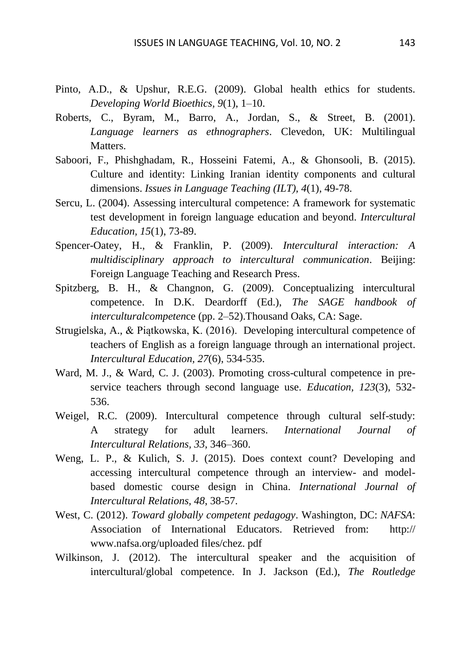- Pinto, A.D., & Upshur, R.E.G. (2009). Global health ethics for students. *Developing World Bioethics, 9*(1), 1–10.
- Roberts, C., Byram, M., Barro, A., Jordan, S., & Street, B. (2001). *Language learners as ethnographers*. Clevedon, UK: Multilingual Matters.
- Saboori, F., Phishghadam, R., Hosseini Fatemi, A., & Ghonsooli, B. (2015). Culture and identity: Linking Iranian identity components and cultural dimensions. *Issues in Language Teaching (ILT), 4*(1), 49-78.
- Sercu, L. (2004). Assessing intercultural competence: A framework for systematic test development in foreign language education and beyond. *Intercultural Education, 15*(1), 73-89.
- Spencer-Oatey, H., & Franklin, P. (2009). *Intercultural interaction: A multidisciplinary approach to intercultural communication*. Beijing: Foreign Language Teaching and Research Press.
- Spitzberg, B. H., & Changnon, G. (2009). Conceptualizing intercultural competence. In D.K. Deardorff (Ed.), *The SAGE handbook of interculturalcompeten*ce (pp. 2–52).Thousand Oaks, CA: Sage.
- Strugielska, A., & Piątkowska, K. (2016). Developing intercultural competence of teachers of English as a foreign language through an international project. *Intercultural Education, 27*(6), 534-535.
- Ward, M. J., & Ward, C. J. (2003). Promoting cross-cultural competence in preservice teachers through second language use. *Education, 123*(3), 532- 536.
- Weigel, R.C. (2009). Intercultural competence through cultural self-study: A strategy for adult learners. *International Journal of Intercultural Relations, 33*, 346–360.
- Weng, L. P., & Kulich, S. J. (2015). Does context count? Developing and accessing intercultural competence through an interview- and modelbased domestic course design in China. *International Journal of Intercultural Relations, 48*, 38-57.
- West, C. (2012). *Toward globally competent pedagogy*. Washington, DC: *NAFSA*: Association of International Educators. Retrieved from: http:// [www.nafsa.org/uploaded files/chez. pdf](http://www.nafsa.org/uploaded%20files/chez.%20pdf)
- Wilkinson, J. (2012). The intercultural speaker and the acquisition of intercultural/global competence. In J. Jackson (Ed.), *The Routledge*